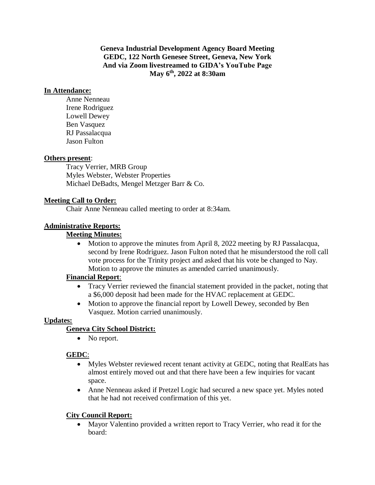**Geneva Industrial Development Agency Board Meeting GEDC, 122 North Genesee Street, Geneva, New York And via Zoom livestreamed to GIDA's YouTube Page May 6th , 2022 at 8:30am**

### **In Attendance:**

Anne Nenneau Irene Rodriguez Lowell Dewey Ben Vasquez RJ Passalacqua Jason Fulton

### **Others present**:

Tracy Verrier, MRB Group Myles Webster, Webster Properties Michael DeBadts, Mengel Metzger Barr & Co.

### **Meeting Call to Order:**

Chair Anne Nenneau called meeting to order at 8:34am.

## **Administrative Reports:**

### **Meeting Minutes:**

• Motion to approve the minutes from April 8, 2022 meeting by RJ Passalacqua, second by Irene Rodriguez. Jason Fulton noted that he misunderstood the roll call vote process for the Trinity project and asked that his vote be changed to Nay. Motion to approve the minutes as amended carried unanimously.

### **Financial Report**:

- Tracy Verrier reviewed the financial statement provided in the packet, noting that a \$6,000 deposit had been made for the HVAC replacement at GEDC.
- Motion to approve the financial report by Lowell Dewey, seconded by Ben Vasquez. Motion carried unanimously.

## **Updates:**

## **Geneva City School District:**

• No report.

## **GEDC**:

- Myles Webster reviewed recent tenant activity at GEDC, noting that RealEats has almost entirely moved out and that there have been a few inquiries for vacant space.
- Anne Nenneau asked if Pretzel Logic had secured a new space yet. Myles noted that he had not received confirmation of this yet.

### **City Council Report:**

• Mayor Valentino provided a written report to Tracy Verrier, who read it for the board: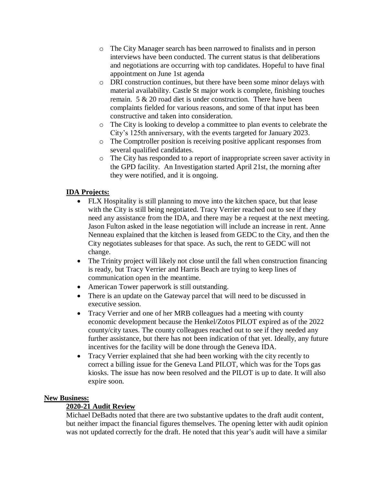- o The City Manager search has been narrowed to finalists and in person interviews have been conducted. The current status is that deliberations and negotiations are occurring with top candidates. Hopeful to have final appointment on June 1st agenda
- o DRI construction continues, but there have been some minor delays with material availability. Castle St major work is complete, finishing touches remain. 5 & 20 road diet is under construction. There have been complaints fielded for various reasons, and some of that input has been constructive and taken into consideration.
- o The City is looking to develop a committee to plan events to celebrate the City's 125th anniversary, with the events targeted for January 2023.
- o The Comptroller position is receiving positive applicant responses from several qualified candidates.
- o The City has responded to a report of inappropriate screen saver activity in the GPD facility. An Investigation started April 21st, the morning after they were notified, and it is ongoing.

# **IDA Projects:**

- FLX Hospitality is still planning to move into the kitchen space, but that lease with the City is still being negotiated. Tracy Verrier reached out to see if they need any assistance from the IDA, and there may be a request at the next meeting. Jason Fulton asked in the lease negotiation will include an increase in rent. Anne Nenneau explained that the kitchen is leased from GEDC to the City, and then the City negotiates subleases for that space. As such, the rent to GEDC will not change.
- The Trinity project will likely not close until the fall when construction financing is ready, but Tracy Verrier and Harris Beach are trying to keep lines of communication open in the meantime.
- American Tower paperwork is still outstanding.
- There is an update on the Gateway parcel that will need to be discussed in executive session.
- Tracy Verrier and one of her MRB colleagues had a meeting with county economic development because the Henkel/Zotos PILOT expired as of the 2022 county/city taxes. The county colleagues reached out to see if they needed any further assistance, but there has not been indication of that yet. Ideally, any future incentives for the facility will be done through the Geneva IDA.
- Tracy Verrier explained that she had been working with the city recently to correct a billing issue for the Geneva Land PILOT, which was for the Tops gas kiosks. The issue has now been resolved and the PILOT is up to date. It will also expire soon.

## **New Business:**

## **2020-21 Audit Review**

Michael DeBadts noted that there are two substantive updates to the draft audit content, but neither impact the financial figures themselves. The opening letter with audit opinion was not updated correctly for the draft. He noted that this year's audit will have a similar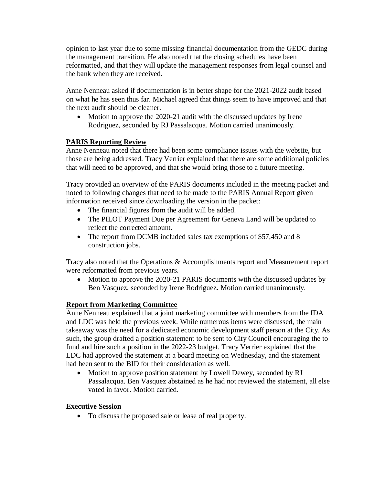opinion to last year due to some missing financial documentation from the GEDC during the management transition. He also noted that the closing schedules have been reformatted, and that they will update the management responses from legal counsel and the bank when they are received.

Anne Nenneau asked if documentation is in better shape for the 2021-2022 audit based on what he has seen thus far. Michael agreed that things seem to have improved and that the next audit should be cleaner.

• Motion to approve the 2020-21 audit with the discussed updates by Irene Rodriguez, seconded by RJ Passalacqua. Motion carried unanimously.

# **PARIS Reporting Review**

Anne Nenneau noted that there had been some compliance issues with the website, but those are being addressed. Tracy Verrier explained that there are some additional policies that will need to be approved, and that she would bring those to a future meeting.

Tracy provided an overview of the PARIS documents included in the meeting packet and noted to following changes that need to be made to the PARIS Annual Report given information received since downloading the version in the packet:

- The financial figures from the audit will be added.
- The PILOT Payment Due per Agreement for Geneva Land will be updated to reflect the corrected amount.
- The report from DCMB included sales tax exemptions of \$57,450 and 8 construction jobs.

Tracy also noted that the Operations & Accomplishments report and Measurement report were reformatted from previous years.

• Motion to approve the 2020-21 PARIS documents with the discussed updates by Ben Vasquez, seconded by Irene Rodriguez. Motion carried unanimously.

## **Report from Marketing Committee**

Anne Nenneau explained that a joint marketing committee with members from the IDA and LDC was held the previous week. While numerous items were discussed, the main takeaway was the need for a dedicated economic development staff person at the City. As such, the group drafted a position statement to be sent to City Council encouraging the to fund and hire such a position in the 2022-23 budget. Tracy Verrier explained that the LDC had approved the statement at a board meeting on Wednesday, and the statement had been sent to the BID for their consideration as well.

• Motion to approve position statement by Lowell Dewey, seconded by RJ Passalacqua. Ben Vasquez abstained as he had not reviewed the statement, all else voted in favor. Motion carried.

## **Executive Session**

• To discuss the proposed sale or lease of real property.